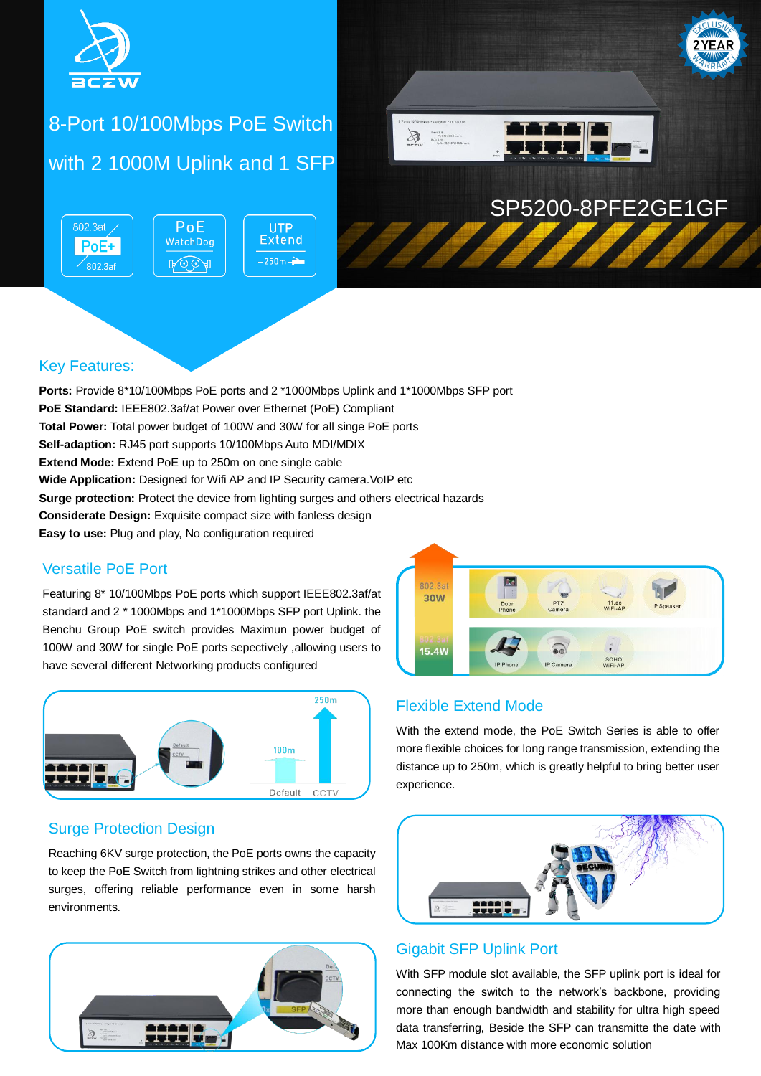

# 8-Port 10/100Mbps PoE Switch with 2 1000M Uplink and 1 SFP

802.3at  $PoE$ **UTP Extend** WatchDog PoE+  $-250m -$ **A**OOA  $\sqrt{802.3}$ af



## SP5200-8PFE2GE1GF

### Key Features:

**Ports:** Provide 8\*10/100Mbps PoE ports and 2 \*1000Mbps Uplink and 1\*1000Mbps SFP port **PoE Standard:** IEEE802.3af/at Power over Ethernet (PoE) Compliant **Total Power:** Total power budget of 100W and 30W for all singe PoE ports **Self-adaption:** RJ45 port supports 10/100Mbps Auto MDI/MDIX **Extend Mode:** Extend PoE up to 250m on one single cable **Wide Application:** Designed for Wifi AP and IP Security camera. VoIP etc **Surge protection:** Protect the device from lighting surges and others electrical hazards **Considerate Design:** Exquisite compact size with fanless design **Easy to use:** Plug and play, No configuration required

#### Versatile PoE Port

Featuring 8\* 10/100Mbps PoE ports which support IEEE802.3af/at standard and 2 \* 1000Mbps and 1\*1000Mbps SFP port Uplink. the Benchu Group PoE switch provides Maximun power budget of 100W and 30W for single PoE ports sepectively ,allowing users to have several different Networking products configured



#### Surge Protection Design

Reaching 6KV surge protection, the PoE ports owns the capacity to keep the PoE Switch from lightning strikes and other electrical surges, offering reliable performance even in some harsh environments.





#### Flexible Extend Mode

With the extend mode, the PoE Switch Series is able to offer more flexible choices for long range transmission, extending the distance up to 250m, which is greatly helpful to bring better user experience.



#### Gigabit SFP Uplink Port

With SFP module slot available, the SFP uplink port is ideal for connecting the switch to the network's backbone, providing more than enough bandwidth and stability for ultra high speed data transferring, Beside the SFP can transmitte the date with Max 100Km distance with more economic solution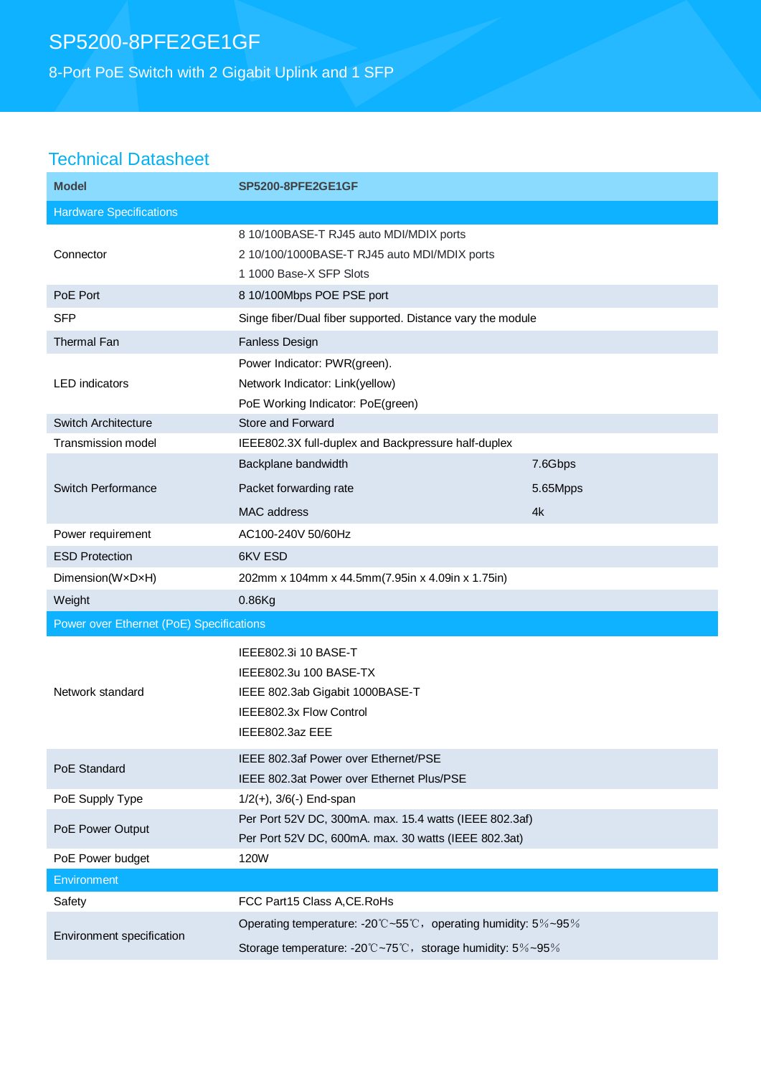## SP5200-8PFE2GE1GF

8-Port PoE Switch with 2 Gigabit Uplink and 1 SFP

### Technical Datasheet

| <b>Model</b>                             | <b>SP5200-8PFE2GE1GF</b>                                                                                                        |          |
|------------------------------------------|---------------------------------------------------------------------------------------------------------------------------------|----------|
| <b>Hardware Specifications</b>           |                                                                                                                                 |          |
| Connector                                | 8 10/100BASE-T RJ45 auto MDI/MDIX ports<br>2 10/100/1000BASE-T RJ45 auto MDI/MDIX ports<br>1 1000 Base-X SFP Slots              |          |
| PoE Port                                 | 8 10/100Mbps POE PSE port                                                                                                       |          |
| <b>SFP</b>                               | Singe fiber/Dual fiber supported. Distance vary the module                                                                      |          |
| <b>Thermal Fan</b>                       | Fanless Design                                                                                                                  |          |
| <b>LED</b> indicators                    | Power Indicator: PWR(green).<br>Network Indicator: Link(yellow)<br>PoE Working Indicator: PoE(green)                            |          |
| Switch Architecture                      | Store and Forward                                                                                                               |          |
| <b>Transmission model</b>                | IEEE802.3X full-duplex and Backpressure half-duplex                                                                             |          |
|                                          | Backplane bandwidth                                                                                                             | 7.6Gbps  |
| Switch Performance                       | Packet forwarding rate                                                                                                          | 5.65Mpps |
|                                          | MAC address                                                                                                                     | 4k       |
| Power requirement                        | AC100-240V 50/60Hz                                                                                                              |          |
| <b>ESD Protection</b>                    | 6KV ESD                                                                                                                         |          |
| Dimension(WxDxH)                         | 202mm x 104mm x 44.5mm(7.95in x 4.09in x 1.75in)                                                                                |          |
| Weight                                   | 0.86Kg                                                                                                                          |          |
| Power over Ethernet (PoE) Specifications |                                                                                                                                 |          |
| Network standard                         | IEEE802.3i 10 BASE-T<br>IEEE802.3u 100 BASE-TX<br>IEEE 802.3ab Gigabit 1000BASE-T<br>IEEE802.3x Flow Control<br>IEEE802.3az EEE |          |
| PoE Standard                             | IEEE 802.3af Power over Ethernet/PSE<br>IEEE 802.3at Power over Ethernet Plus/PSE                                               |          |
| PoE Supply Type                          | $1/2(+)$ , $3/6(-)$ End-span                                                                                                    |          |
| PoE Power Output                         | Per Port 52V DC, 300mA. max. 15.4 watts (IEEE 802.3af)<br>Per Port 52V DC, 600mA. max. 30 watts (IEEE 802.3at)                  |          |
| PoE Power budget                         | 120W                                                                                                                            |          |
| Environment                              |                                                                                                                                 |          |
| Safety                                   | FCC Part15 Class A, CE. RoHs                                                                                                    |          |
| Environment specification                | Operating temperature: -20°C~55°C, operating humidity: 5%~95%<br>Storage temperature: -20°C~75°C, storage humidity: 5%~95%      |          |